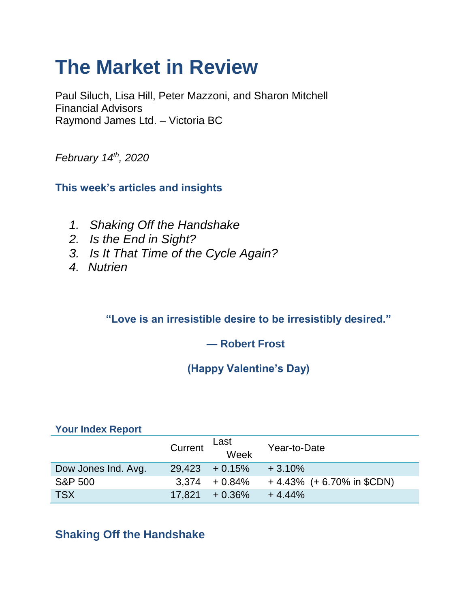# **The Market in Review**

Paul Siluch, Lisa Hill, Peter Mazzoni, and Sharon Mitchell Financial Advisors Raymond James Ltd. – Victoria BC

*February 14th, 2020*

**This week's articles and insights**

- *1. Shaking Off the Handshake*
- *2. Is the End in Sight?*
- *3. Is It That Time of the Cycle Again?*
- *4. Nutrien*

**"Love is an irresistible desire to be irresistibly desired."**

#### **— Robert Frost**

## **(Happy Valentine's Day)**

#### **Your Index Report**

|                     | Current | Last<br>week      | Year-to-Date                |
|---------------------|---------|-------------------|-----------------------------|
| Dow Jones Ind. Avg. |         | $29,423 + 0.15\%$ | $+3.10%$                    |
| <b>S&amp;P 500</b>  |         | $3,374 + 0.84\%$  | $+4.43\%$ (+6.70% in \$CDN) |
| <b>TSX</b>          |         | $17.821 + 0.36\%$ | $+4.44%$                    |

## **Shaking Off the Handshake**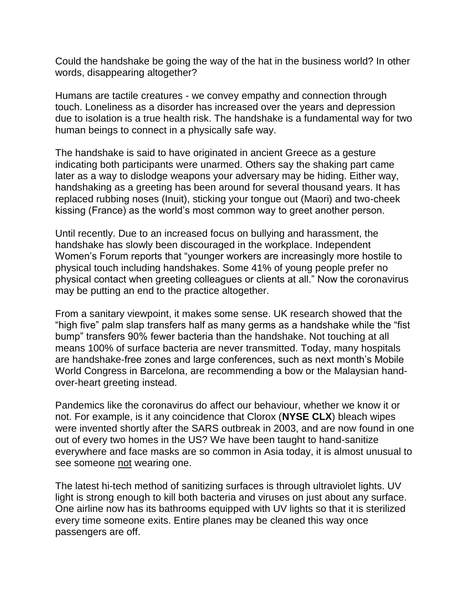Could the handshake be going the way of the hat in the business world? In other words, disappearing altogether?

Humans are tactile creatures - we convey empathy and connection through touch. Loneliness as a disorder has increased over the years and depression due to isolation is a true health risk. The handshake is a fundamental way for two human beings to connect in a physically safe way.

The handshake is said to have originated in ancient Greece as a gesture indicating both participants were unarmed. Others say the shaking part came later as a way to dislodge weapons your adversary may be hiding. Either way, handshaking as a greeting has been around for several thousand years. It has replaced rubbing noses (Inuit), sticking your tongue out (Maori) and two-cheek kissing (France) as the world's most common way to greet another person.

Until recently. Due to an increased focus on bullying and harassment, the handshake has slowly been discouraged in the workplace. Independent Women's Forum reports that "younger workers are increasingly more hostile to physical touch including handshakes. Some 41% of young people prefer no physical contact when greeting colleagues or clients at all." Now the coronavirus may be putting an end to the practice altogether.

From a sanitary viewpoint, it makes some sense. UK research showed that the "high five" palm slap transfers half as many germs as a handshake while the "fist bump" transfers 90% fewer bacteria than the handshake. Not touching at all means 100% of surface bacteria are never transmitted. Today, many hospitals are handshake-free zones and large conferences, such as next month's Mobile World Congress in Barcelona, are recommending a bow or the Malaysian handover-heart greeting instead.

Pandemics like the coronavirus do affect our behaviour, whether we know it or not. For example, is it any coincidence that Clorox (**NYSE CLX**) bleach wipes were invented shortly after the SARS outbreak in 2003, and are now found in one out of every two homes in the US? We have been taught to hand-sanitize everywhere and face masks are so common in Asia today, it is almost unusual to see someone not wearing one.

The latest hi-tech method of sanitizing surfaces is through ultraviolet lights. UV light is strong enough to kill both bacteria and viruses on just about any surface. One airline now has its bathrooms equipped with UV lights so that it is sterilized every time someone exits. Entire planes may be cleaned this way once passengers are off.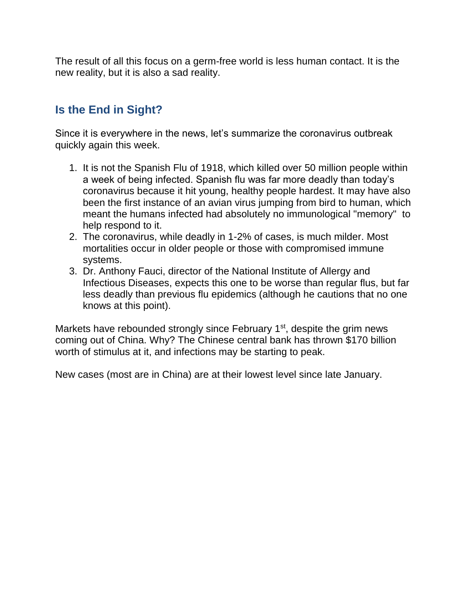The result of all this focus on a germ-free world is less human contact. It is the new reality, but it is also a sad reality.

### **Is the End in Sight?**

Since it is everywhere in the news, let's summarize the coronavirus outbreak quickly again this week.

- 1. It is not the Spanish Flu of 1918, which killed over 50 million people within a week of being infected. Spanish flu was far more deadly than today's coronavirus because it hit young, healthy people hardest. It may have also been the first instance of an avian virus jumping from bird to human, which meant the humans infected had absolutely no immunological "memory" to help respond to it.
- 2. The coronavirus, while deadly in 1-2% of cases, is much milder. Most mortalities occur in older people or those with compromised immune systems.
- 3. Dr. Anthony Fauci, director of the National Institute of Allergy and Infectious Diseases, expects this one to be worse than regular flus, but far less deadly than previous flu epidemics (although he cautions that no one knows at this point).

Markets have rebounded strongly since February  $1<sup>st</sup>$ , despite the grim news coming out of China. Why? The Chinese central bank has thrown \$170 billion worth of stimulus at it, and infections may be starting to peak.

New cases (most are in China) are at their lowest level since late January.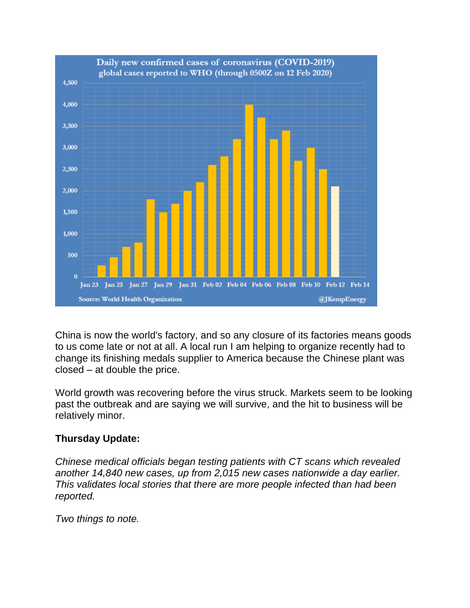

China is now the world's factory, and so any closure of its factories means goods to us come late or not at all. A local run I am helping to organize recently had to change its finishing medals supplier to America because the Chinese plant was closed – at double the price.

World growth was recovering before the virus struck. Markets seem to be looking past the outbreak and are saying we will survive, and the hit to business will be relatively minor.

#### **Thursday Update:**

*Chinese medical officials began testing patients with CT scans which revealed another 14,840 new cases, up from 2,015 new cases nationwide a day earlier. This validates local stories that there are more people infected than had been reported.*

*Two things to note.*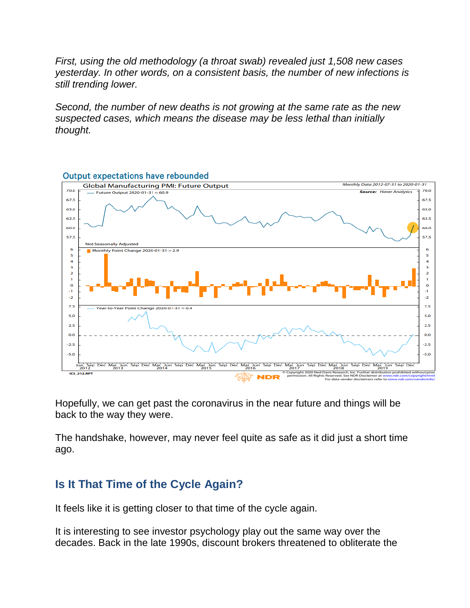*First, using the old methodology (a throat swab) revealed just 1,508 new cases yesterday. In other words, on a consistent basis, the number of new infections is still trending lower.*

*Second, the number of new deaths is not growing at the same rate as the new suspected cases, which means the disease may be less lethal than initially thought.*



Hopefully, we can get past the coronavirus in the near future and things will be back to the way they were.

The handshake, however, may never feel quite as safe as it did just a short time ago.

#### **Is It That Time of the Cycle Again?**

It feels like it is getting closer to that time of the cycle again.

It is interesting to see investor psychology play out the same way over the decades. Back in the late 1990s, discount brokers threatened to obliterate the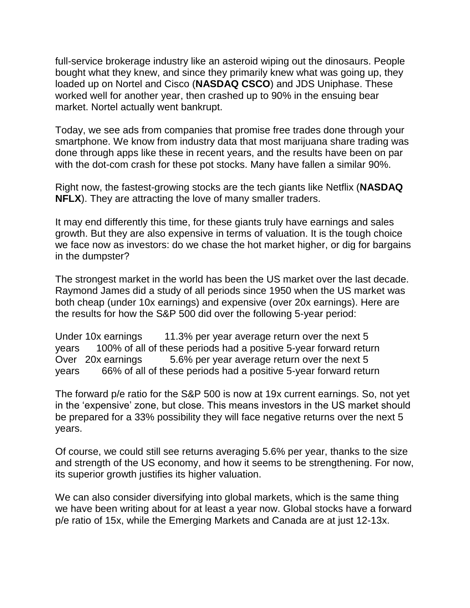full-service brokerage industry like an asteroid wiping out the dinosaurs. People bought what they knew, and since they primarily knew what was going up, they loaded up on Nortel and Cisco (**NASDAQ CSCO**) and JDS Uniphase. These worked well for another year, then crashed up to 90% in the ensuing bear market. Nortel actually went bankrupt.

Today, we see ads from companies that promise free trades done through your smartphone. We know from industry data that most marijuana share trading was done through apps like these in recent years, and the results have been on par with the dot-com crash for these pot stocks. Many have fallen a similar 90%.

Right now, the fastest-growing stocks are the tech giants like Netflix (**NASDAQ NFLX**). They are attracting the love of many smaller traders.

It may end differently this time, for these giants truly have earnings and sales growth. But they are also expensive in terms of valuation. It is the tough choice we face now as investors: do we chase the hot market higher, or dig for bargains in the dumpster?

The strongest market in the world has been the US market over the last decade. Raymond James did a study of all periods since 1950 when the US market was both cheap (under 10x earnings) and expensive (over 20x earnings). Here are the results for how the S&P 500 did over the following 5-year period:

Under 10x earnings 11.3% per year average return over the next 5 years 100% of all of these periods had a positive 5-year forward return Over 20x earnings 5.6% per year average return over the next 5 years 66% of all of these periods had a positive 5-year forward return

The forward p/e ratio for the S&P 500 is now at 19x current earnings. So, not yet in the 'expensive' zone, but close. This means investors in the US market should be prepared for a 33% possibility they will face negative returns over the next 5 years.

Of course, we could still see returns averaging 5.6% per year, thanks to the size and strength of the US economy, and how it seems to be strengthening. For now, its superior growth justifies its higher valuation.

We can also consider diversifying into global markets, which is the same thing we have been writing about for at least a year now. Global stocks have a forward p/e ratio of 15x, while the Emerging Markets and Canada are at just 12-13x.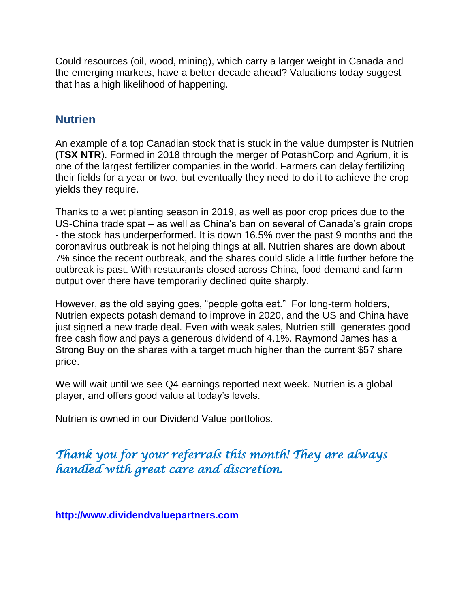Could resources (oil, wood, mining), which carry a larger weight in Canada and the emerging markets, have a better decade ahead? Valuations today suggest that has a high likelihood of happening.

#### **Nutrien**

An example of a top Canadian stock that is stuck in the value dumpster is Nutrien (**TSX NTR**). Formed in 2018 through the merger of PotashCorp and Agrium, it is one of the largest fertilizer companies in the world. Farmers can delay fertilizing their fields for a year or two, but eventually they need to do it to achieve the crop yields they require.

Thanks to a wet planting season in 2019, as well as poor crop prices due to the US-China trade spat – as well as China's ban on several of Canada's grain crops - the stock has underperformed. It is down 16.5% over the past 9 months and the coronavirus outbreak is not helping things at all. Nutrien shares are down about 7% since the recent outbreak, and the shares could slide a little further before the outbreak is past. With restaurants closed across China, food demand and farm output over there have temporarily declined quite sharply.

However, as the old saying goes, "people gotta eat." For long-term holders, Nutrien expects potash demand to improve in 2020, and the US and China have just signed a new trade deal. Even with weak sales, Nutrien still generates good free cash flow and pays a generous dividend of 4.1%. Raymond James has a Strong Buy on the shares with a target much higher than the current \$57 share price.

We will wait until we see Q4 earnings reported next week. Nutrien is a global player, and offers good value at today's levels.

Nutrien is owned in our Dividend Value portfolios.

## *Thank you for your referrals this month! They are always handled with great care and discretion.*

**[http://www.dividendvaluepartners.com](https://urldefense.proofpoint.com/v2/url?u=http-3A__www.dividendvaluepartners.com&d=DwMFAw&c=K3dQCUGiI1B95NJ6cl3GoyhMW2dvBOfimZA-83UXll0&r=_6MBBSGYsFznIBwslhTiqBKEz4pHUCTd_9tbh_EpUMY&m=scBAtuMDuWZwK1IVr5YXjdB6aRS-faGHAMq3jOn6sJU&s=enZqe4ZgcjH_33x5dT-vZq9A37d4AhNkXvjc6AbmYww&e=)**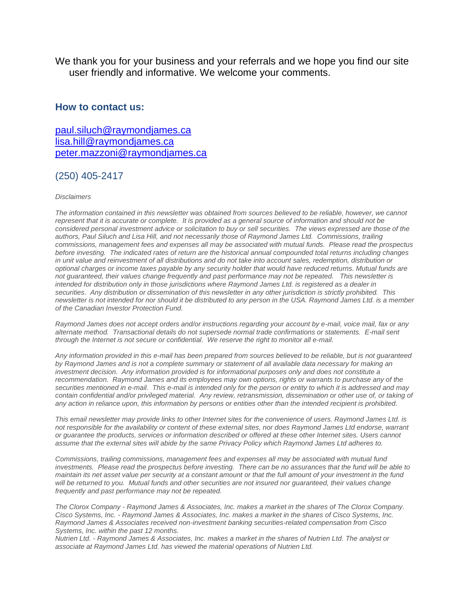We thank you for your business and your referrals and we hope you find our site user friendly and informative. We welcome your comments.

#### **How to contact us:**

[paul.siluch@raymondjames.ca](https://owa-kel.raymondjames.ca/owa/redir.aspx?SURL=z0BxOCXDlQ-Aad1f_a9igaARxm5Rd1VXE7UcmD4mZ3IZiacj7DPTCG0AYQBpAGwAdABvADoAcABhAHUAbAAuAHMAaQBsAHUAYwBoAEAAcgBhAHkAbQBvAG4AZABqAGEAbQBlAHMALgBjAGEA&URL=mailto%3apaul.siluch%40raymondjames.ca) [lisa.hill@raymondjames.ca](https://owa-kel.raymondjames.ca/owa/redir.aspx?SURL=glaBgdTdxPMFpiw4eumg-PzZXpo9vJyObrXLs1TKtIAZiacj7DPTCG0AYQBpAGwAdABvADoAbABpAHMAYQAuAGgAaQBsAGwAQAByAGEAeQBtAG8AbgBkAGoAYQBtAGUAcwAuAGMAYQA.&URL=mailto%3alisa.hill%40raymondjames.ca) [peter.mazzoni@raymondjames.ca](https://owa-kel.raymondjames.ca/owa/redir.aspx?SURL=3c7mDL9-cZxYXt7CvkOu20QVFy1WCaDQxUZ3BQE6vecZiacj7DPTCG0AYQBpAGwAdABvADoAcABlAHQAZQByAC4AbQBhAHoAegBvAG4AaQBAAHIAYQB5AG0AbwBuAGQAagBhAG0AZQBzAC4AYwBhAA..&URL=mailto%3apeter.mazzoni%40raymondjames.ca)

#### (250) 405-2417

#### *Disclaimers*

*[The information contained in this newsletter was obtained from sources believed to be reliable, however, we cannot](https://owa-kel.raymondjames.ca/owa/redir.aspx?SURL=z0BxOCXDlQ-Aad1f_a9igaARxm5Rd1VXE7UcmD4mZ3IZiacj7DPTCG0AYQBpAGwAdABvADoAcABhAHUAbAAuAHMAaQBsAHUAYwBoAEAAcgBhAHkAbQBvAG4AZABqAGEAbQBlAHMALgBjAGEA&URL=mailto%3apaul.siluch%40raymondjames.ca)  represent that it is accurate or complete. [It is provided as a general source of information and should not be](https://owa-kel.raymondjames.ca/owa/redir.aspx?SURL=z0BxOCXDlQ-Aad1f_a9igaARxm5Rd1VXE7UcmD4mZ3IZiacj7DPTCG0AYQBpAGwAdABvADoAcABhAHUAbAAuAHMAaQBsAHUAYwBoAEAAcgBhAHkAbQBvAG4AZABqAGEAbQBlAHMALgBjAGEA&URL=mailto%3apaul.siluch%40raymondjames.ca)  [considered personal investment advice or solicitation to buy or sell securities.](https://owa-kel.raymondjames.ca/owa/redir.aspx?SURL=z0BxOCXDlQ-Aad1f_a9igaARxm5Rd1VXE7UcmD4mZ3IZiacj7DPTCG0AYQBpAGwAdABvADoAcABhAHUAbAAuAHMAaQBsAHUAYwBoAEAAcgBhAHkAbQBvAG4AZABqAGEAbQBlAHMALgBjAGEA&URL=mailto%3apaul.siluch%40raymondjames.ca) The views expressed are those of the [authors, Paul Siluch and Lisa Hill, and not necessarily those of Raymond James Ltd.](https://owa-kel.raymondjames.ca/owa/redir.aspx?SURL=z0BxOCXDlQ-Aad1f_a9igaARxm5Rd1VXE7UcmD4mZ3IZiacj7DPTCG0AYQBpAGwAdABvADoAcABhAHUAbAAuAHMAaQBsAHUAYwBoAEAAcgBhAHkAbQBvAG4AZABqAGEAbQBlAHMALgBjAGEA&URL=mailto%3apaul.siluch%40raymondjames.ca) Commissions, trailing [commissions, management fees and expenses all may be associated with mutual funds.](https://owa-kel.raymondjames.ca/owa/redir.aspx?SURL=z0BxOCXDlQ-Aad1f_a9igaARxm5Rd1VXE7UcmD4mZ3IZiacj7DPTCG0AYQBpAGwAdABvADoAcABhAHUAbAAuAHMAaQBsAHUAYwBoAEAAcgBhAHkAbQBvAG4AZABqAGEAbQBlAHMALgBjAGEA&URL=mailto%3apaul.siluch%40raymondjames.ca) Please read the prospectus before investing. [The indicated rates of return are the historical annual compounded total returns including changes](https://owa-kel.raymondjames.ca/owa/redir.aspx?SURL=z0BxOCXDlQ-Aad1f_a9igaARxm5Rd1VXE7UcmD4mZ3IZiacj7DPTCG0AYQBpAGwAdABvADoAcABhAHUAbAAuAHMAaQBsAHUAYwBoAEAAcgBhAHkAbQBvAG4AZABqAGEAbQBlAHMALgBjAGEA&URL=mailto%3apaul.siluch%40raymondjames.ca)  [in unit value and reinvestment of all distributions and do not take into account sales, redemption, distribution or](https://owa-kel.raymondjames.ca/owa/redir.aspx?SURL=z0BxOCXDlQ-Aad1f_a9igaARxm5Rd1VXE7UcmD4mZ3IZiacj7DPTCG0AYQBpAGwAdABvADoAcABhAHUAbAAuAHMAaQBsAHUAYwBoAEAAcgBhAHkAbQBvAG4AZABqAGEAbQBlAHMALgBjAGEA&URL=mailto%3apaul.siluch%40raymondjames.ca)  [optional charges or income taxes payable by any security holder that would have reduced returns. Mutual funds are](https://owa-kel.raymondjames.ca/owa/redir.aspx?SURL=z0BxOCXDlQ-Aad1f_a9igaARxm5Rd1VXE7UcmD4mZ3IZiacj7DPTCG0AYQBpAGwAdABvADoAcABhAHUAbAAuAHMAaQBsAHUAYwBoAEAAcgBhAHkAbQBvAG4AZABqAGEAbQBlAHMALgBjAGEA&URL=mailto%3apaul.siluch%40raymondjames.ca)  [not guaranteed, their values change frequently and past performance may not be repeated.](https://owa-kel.raymondjames.ca/owa/redir.aspx?SURL=z0BxOCXDlQ-Aad1f_a9igaARxm5Rd1VXE7UcmD4mZ3IZiacj7DPTCG0AYQBpAGwAdABvADoAcABhAHUAbAAuAHMAaQBsAHUAYwBoAEAAcgBhAHkAbQBvAG4AZABqAGEAbQBlAHMALgBjAGEA&URL=mailto%3apaul.siluch%40raymondjames.ca) This newsletter is [intended for distribution only in those jurisdictions where Raymond James Ltd. is registered as a dealer in](https://owa-kel.raymondjames.ca/owa/redir.aspx?SURL=z0BxOCXDlQ-Aad1f_a9igaARxm5Rd1VXE7UcmD4mZ3IZiacj7DPTCG0AYQBpAGwAdABvADoAcABhAHUAbAAuAHMAaQBsAHUAYwBoAEAAcgBhAHkAbQBvAG4AZABqAGEAbQBlAHMALgBjAGEA&URL=mailto%3apaul.siluch%40raymondjames.ca)  securities. [Any distribution or dissemination of this newsletter in any other jurisdiction is strictly prohibited.](https://owa-kel.raymondjames.ca/owa/redir.aspx?SURL=z0BxOCXDlQ-Aad1f_a9igaARxm5Rd1VXE7UcmD4mZ3IZiacj7DPTCG0AYQBpAGwAdABvADoAcABhAHUAbAAuAHMAaQBsAHUAYwBoAEAAcgBhAHkAbQBvAG4AZABqAGEAbQBlAHMALgBjAGEA&URL=mailto%3apaul.siluch%40raymondjames.ca) This [newsletter is not intended for nor should it be distributed to any person in the USA. Raymond James Ltd. is a member](https://owa-kel.raymondjames.ca/owa/redir.aspx?SURL=z0BxOCXDlQ-Aad1f_a9igaARxm5Rd1VXE7UcmD4mZ3IZiacj7DPTCG0AYQBpAGwAdABvADoAcABhAHUAbAAuAHMAaQBsAHUAYwBoAEAAcgBhAHkAbQBvAG4AZABqAGEAbQBlAHMALgBjAGEA&URL=mailto%3apaul.siluch%40raymondjames.ca)  [of the Canadian Investor Protection Fund.](https://owa-kel.raymondjames.ca/owa/redir.aspx?SURL=z0BxOCXDlQ-Aad1f_a9igaARxm5Rd1VXE7UcmD4mZ3IZiacj7DPTCG0AYQBpAGwAdABvADoAcABhAHUAbAAuAHMAaQBsAHUAYwBoAEAAcgBhAHkAbQBvAG4AZABqAGEAbQBlAHMALgBjAGEA&URL=mailto%3apaul.siluch%40raymondjames.ca)* 

*Raymond James [does not accept orders and/or instructions regarding your account by e-mail, voice mail, fax or any](https://owa-kel.raymondjames.ca/owa/redir.aspx?SURL=z0BxOCXDlQ-Aad1f_a9igaARxm5Rd1VXE7UcmD4mZ3IZiacj7DPTCG0AYQBpAGwAdABvADoAcABhAHUAbAAuAHMAaQBsAHUAYwBoAEAAcgBhAHkAbQBvAG4AZABqAGEAbQBlAHMALgBjAGEA&URL=mailto%3apaul.siluch%40raymondjames.ca)  alternate method. [Transactional details do not supersede normal trade confirmations or statements.](https://owa-kel.raymondjames.ca/owa/redir.aspx?SURL=z0BxOCXDlQ-Aad1f_a9igaARxm5Rd1VXE7UcmD4mZ3IZiacj7DPTCG0AYQBpAGwAdABvADoAcABhAHUAbAAuAHMAaQBsAHUAYwBoAEAAcgBhAHkAbQBvAG4AZABqAGEAbQBlAHMALgBjAGEA&URL=mailto%3apaul.siluch%40raymondjames.ca) E-mail sent [through the Internet is not secure or confidential.](https://owa-kel.raymondjames.ca/owa/redir.aspx?SURL=z0BxOCXDlQ-Aad1f_a9igaARxm5Rd1VXE7UcmD4mZ3IZiacj7DPTCG0AYQBpAGwAdABvADoAcABhAHUAbAAuAHMAaQBsAHUAYwBoAEAAcgBhAHkAbQBvAG4AZABqAGEAbQBlAHMALgBjAGEA&URL=mailto%3apaul.siluch%40raymondjames.ca) We reserve the right to monitor all e-mail.*

*[Any information provided in this e-mail has been prepared from sources believed to be reliable, but is not guaranteed](https://owa-kel.raymondjames.ca/owa/redir.aspx?SURL=z0BxOCXDlQ-Aad1f_a9igaARxm5Rd1VXE7UcmD4mZ3IZiacj7DPTCG0AYQBpAGwAdABvADoAcABhAHUAbAAuAHMAaQBsAHUAYwBoAEAAcgBhAHkAbQBvAG4AZABqAGEAbQBlAHMALgBjAGEA&URL=mailto%3apaul.siluch%40raymondjames.ca)  by Raymond James [and is not a complete summary or statement of all available data necessary for making an](https://owa-kel.raymondjames.ca/owa/redir.aspx?SURL=z0BxOCXDlQ-Aad1f_a9igaARxm5Rd1VXE7UcmD4mZ3IZiacj7DPTCG0AYQBpAGwAdABvADoAcABhAHUAbAAuAHMAaQBsAHUAYwBoAEAAcgBhAHkAbQBvAG4AZABqAGEAbQBlAHMALgBjAGEA&URL=mailto%3apaul.siluch%40raymondjames.ca)  investment decision. [Any information provided is for informational purposes only and does not constitute a](https://owa-kel.raymondjames.ca/owa/redir.aspx?SURL=z0BxOCXDlQ-Aad1f_a9igaARxm5Rd1VXE7UcmD4mZ3IZiacj7DPTCG0AYQBpAGwAdABvADoAcABhAHUAbAAuAHMAaQBsAHUAYwBoAEAAcgBhAHkAbQBvAG4AZABqAGEAbQBlAHMALgBjAGEA&URL=mailto%3apaul.siluch%40raymondjames.ca)  recommendation. Raymond James [and its employees may own options, rights or warrants to purchase any of the](https://owa-kel.raymondjames.ca/owa/redir.aspx?SURL=z0BxOCXDlQ-Aad1f_a9igaARxm5Rd1VXE7UcmD4mZ3IZiacj7DPTCG0AYQBpAGwAdABvADoAcABhAHUAbAAuAHMAaQBsAHUAYwBoAEAAcgBhAHkAbQBvAG4AZABqAGEAbQBlAHMALgBjAGEA&URL=mailto%3apaul.siluch%40raymondjames.ca)  securities mentioned in e-mail. [This e-mail is intended only for the person or entity to which it is addressed and may](https://owa-kel.raymondjames.ca/owa/redir.aspx?SURL=z0BxOCXDlQ-Aad1f_a9igaARxm5Rd1VXE7UcmD4mZ3IZiacj7DPTCG0AYQBpAGwAdABvADoAcABhAHUAbAAuAHMAaQBsAHUAYwBoAEAAcgBhAHkAbQBvAG4AZABqAGEAbQBlAHMALgBjAGEA&URL=mailto%3apaul.siluch%40raymondjames.ca)  contain confidential and/or privileged material. [Any review, retransmission, dissemination or other use of, or taking of](https://owa-kel.raymondjames.ca/owa/redir.aspx?SURL=z0BxOCXDlQ-Aad1f_a9igaARxm5Rd1VXE7UcmD4mZ3IZiacj7DPTCG0AYQBpAGwAdABvADoAcABhAHUAbAAuAHMAaQBsAHUAYwBoAEAAcgBhAHkAbQBvAG4AZABqAGEAbQBlAHMALgBjAGEA&URL=mailto%3apaul.siluch%40raymondjames.ca)  [any action in reliance upon, this information by persons or entities other than the intended recipient is prohibited.](https://owa-kel.raymondjames.ca/owa/redir.aspx?SURL=z0BxOCXDlQ-Aad1f_a9igaARxm5Rd1VXE7UcmD4mZ3IZiacj7DPTCG0AYQBpAGwAdABvADoAcABhAHUAbAAuAHMAaQBsAHUAYwBoAEAAcgBhAHkAbQBvAG4AZABqAGEAbQBlAHMALgBjAGEA&URL=mailto%3apaul.siluch%40raymondjames.ca)*

*This email newsletter may provide links to other Internet sites for the convenience of users. Raymond James Ltd. is not responsible for the availability or content of these external sites, nor does Raymond James Ltd endorse, warrant or guarantee the products, services or information described or offered at these other Internet sites. Users cannot assume that the external sites will abide by the same Privacy Policy which Raymond James Ltd adheres to.*

*Commissions, trailing commissions, management fees and expenses all may be associated with mutual fund investments. Please read the prospectus before investing. There can be no assurances that the fund will be able to maintain its net asset value per security at a constant amount or that the full amount of your investment in the fund*  will be returned to you. Mutual funds and other securities are not insured nor guaranteed, their values change *frequently and past performance may not be repeated.*

*The Clorox Company - Raymond James & Associates, Inc. makes a market in the shares of The Clorox Company. Cisco Systems, Inc. - Raymond James & Associates, Inc. makes a market in the shares of Cisco Systems, Inc. Raymond James & Associates received non-investment banking securities-related compensation from Cisco Systems, Inc. within the past 12 months.*

*Nutrien Ltd. - Raymond James & Associates, Inc. makes a market in the shares of Nutrien Ltd. The analyst or associate at Raymond James Ltd. has viewed the material operations of Nutrien Ltd.*